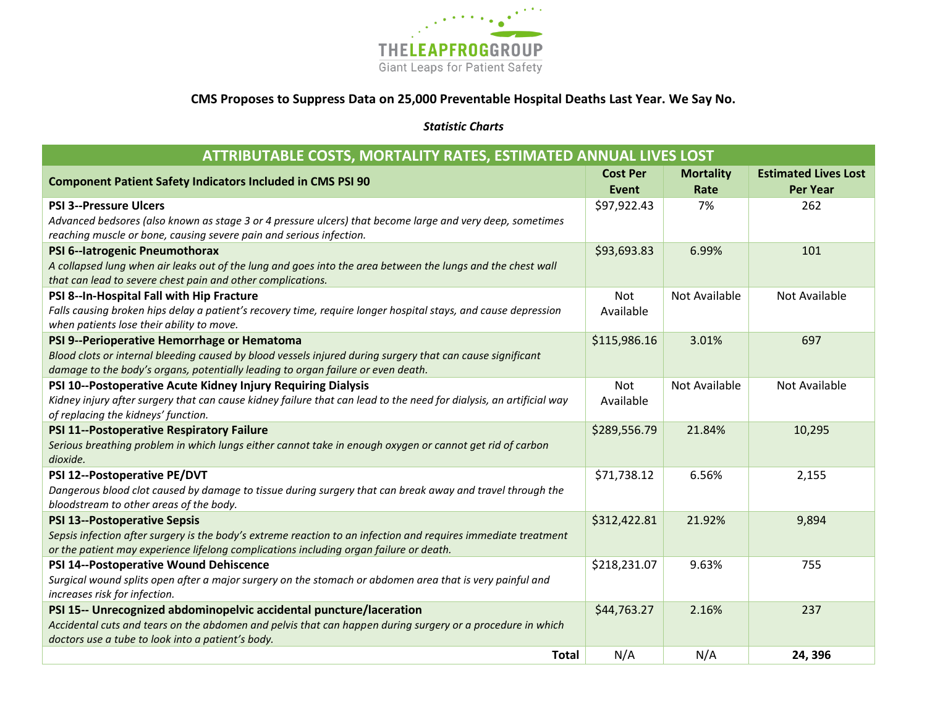

## **CMS Proposes to Suppress Data on 25,000 Preventable Hospital Deaths Last Year. We Say No.**

## *Statistic Charts*

| ATTRIBUTABLE COSTS, MORTALITY RATES, ESTIMATED ANNUAL LIVES LOST                                                    |              |                  |                             |  |  |
|---------------------------------------------------------------------------------------------------------------------|--------------|------------------|-----------------------------|--|--|
| <b>Component Patient Safety Indicators Included in CMS PSI 90</b>                                                   |              | <b>Mortality</b> | <b>Estimated Lives Lost</b> |  |  |
|                                                                                                                     |              | Rate             | <b>Per Year</b>             |  |  |
| <b>PSI 3--Pressure Ulcers</b>                                                                                       | \$97,922.43  | 7%               | 262                         |  |  |
| Advanced bedsores (also known as stage 3 or 4 pressure ulcers) that become large and very deep, sometimes           |              |                  |                             |  |  |
| reaching muscle or bone, causing severe pain and serious infection.                                                 |              |                  |                             |  |  |
| PSI 6--latrogenic Pneumothorax                                                                                      | \$93,693.83  | 6.99%            | 101                         |  |  |
| A collapsed lung when air leaks out of the lung and goes into the area between the lungs and the chest wall         |              |                  |                             |  |  |
| that can lead to severe chest pain and other complications.                                                         |              |                  |                             |  |  |
| PSI 8--In-Hospital Fall with Hip Fracture                                                                           | <b>Not</b>   | Not Available    | Not Available               |  |  |
| Falls causing broken hips delay a patient's recovery time, require longer hospital stays, and cause depression      | Available    |                  |                             |  |  |
| when patients lose their ability to move.                                                                           |              |                  |                             |  |  |
| PSI 9--Perioperative Hemorrhage or Hematoma                                                                         | \$115,986.16 | 3.01%            | 697                         |  |  |
| Blood clots or internal bleeding caused by blood vessels injured during surgery that can cause significant          |              |                  |                             |  |  |
| damage to the body's organs, potentially leading to organ failure or even death.                                    |              |                  |                             |  |  |
| PSI 10--Postoperative Acute Kidney Injury Requiring Dialysis                                                        | <b>Not</b>   | Not Available    | Not Available               |  |  |
| Kidney injury after surgery that can cause kidney failure that can lead to the need for dialysis, an artificial way | Available    |                  |                             |  |  |
| of replacing the kidneys' function.                                                                                 |              |                  |                             |  |  |
| PSI 11--Postoperative Respiratory Failure                                                                           | \$289,556.79 | 21.84%           | 10,295                      |  |  |
| Serious breathing problem in which lungs either cannot take in enough oxygen or cannot get rid of carbon            |              |                  |                             |  |  |
| dioxide.                                                                                                            |              |                  |                             |  |  |
| PSI 12--Postoperative PE/DVT                                                                                        | \$71,738.12  | 6.56%            | 2,155                       |  |  |
| Dangerous blood clot caused by damage to tissue during surgery that can break away and travel through the           |              |                  |                             |  |  |
| bloodstream to other areas of the body.                                                                             |              |                  |                             |  |  |
| <b>PSI 13--Postoperative Sepsis</b>                                                                                 | \$312,422.81 | 21.92%           | 9,894                       |  |  |
| Sepsis infection after surgery is the body's extreme reaction to an infection and requires immediate treatment      |              |                  |                             |  |  |
| or the patient may experience lifelong complications including organ failure or death.                              |              |                  |                             |  |  |
| PSI 14--Postoperative Wound Dehiscence                                                                              | \$218,231.07 | 9.63%            | 755                         |  |  |
| Surgical wound splits open after a major surgery on the stomach or abdomen area that is very painful and            |              |                  |                             |  |  |
| increases risk for infection.                                                                                       |              |                  |                             |  |  |
| PSI 15-- Unrecognized abdominopelvic accidental puncture/laceration                                                 | \$44,763.27  | 2.16%            | 237                         |  |  |
| Accidental cuts and tears on the abdomen and pelvis that can happen during surgery or a procedure in which          |              |                  |                             |  |  |
| doctors use a tube to look into a patient's body.                                                                   |              |                  |                             |  |  |
| <b>Total</b>                                                                                                        | N/A          | N/A              | 24,396                      |  |  |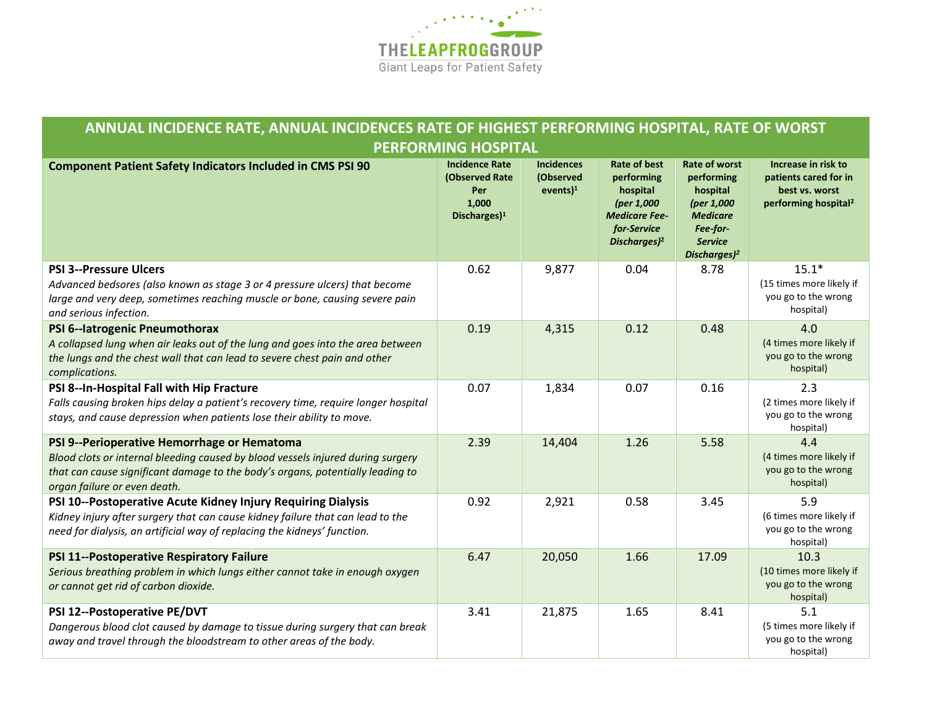

## **ANNUAL INCIDENCE RATE, ANNUAL INCIDENCES RATE OF HIGHEST PERFORMING HOSPITAL, RATE OF WORST PERFORMING HOSPITAL**

| <b>Component Patient Safety Indicators Included in CMS PSI 90</b>                                                                                                                                                                                | <b>Incidence Rate</b><br>(Observed Rate<br>Per<br>1,000<br>Discharges $)^1$ | <b>Incidences</b><br>(Observed<br>events) <sup>1</sup> | <b>Rate of best</b><br>performing<br>hospital<br>(per 1,000<br><b>Medicare Fee-</b><br>for-Service<br>Discharges) <sup>2</sup> | <b>Rate of worst</b><br>performing<br>hospital<br>(per 1,000<br><b>Medicare</b><br>Fee-for-<br><b>Service</b><br>Discharges) <sup>2</sup> | Increase in risk to<br>patients cared for in<br>best vs. worst<br>performing hospital <sup>2</sup> |
|--------------------------------------------------------------------------------------------------------------------------------------------------------------------------------------------------------------------------------------------------|-----------------------------------------------------------------------------|--------------------------------------------------------|--------------------------------------------------------------------------------------------------------------------------------|-------------------------------------------------------------------------------------------------------------------------------------------|----------------------------------------------------------------------------------------------------|
| <b>PSI 3--Pressure Ulcers</b><br>Advanced bedsores (also known as stage 3 or 4 pressure ulcers) that become<br>large and very deep, sometimes reaching muscle or bone, causing severe pain<br>and serious infection.                             | 0.62                                                                        | 9,877                                                  | 0.04                                                                                                                           | 8.78                                                                                                                                      | $15.1*$<br>(15 times more likely if<br>you go to the wrong<br>hospital)                            |
| PSI 6--latrogenic Pneumothorax<br>A collapsed lung when air leaks out of the lung and goes into the area between<br>the lungs and the chest wall that can lead to severe chest pain and other<br>complications.                                  | 0.19                                                                        | 4,315                                                  | 0.12                                                                                                                           | 0.48                                                                                                                                      | 4.0<br>(4 times more likely if<br>you go to the wrong<br>hospital)                                 |
| PSI 8--In-Hospital Fall with Hip Fracture<br>Falls causing broken hips delay a patient's recovery time, require longer hospital<br>stays, and cause depression when patients lose their ability to move.                                         | 0.07                                                                        | 1,834                                                  | 0.07                                                                                                                           | 0.16                                                                                                                                      | 2.3<br>(2 times more likely if<br>you go to the wrong<br>hospital)                                 |
| PSI 9--Perioperative Hemorrhage or Hematoma<br>Blood clots or internal bleeding caused by blood vessels injured during surgery<br>that can cause significant damage to the body's organs, potentially leading to<br>organ failure or even death. | 2.39                                                                        | 14,404                                                 | 1.26                                                                                                                           | 5.58                                                                                                                                      | 4.4<br>(4 times more likely if<br>you go to the wrong<br>hospital)                                 |
| PSI 10--Postoperative Acute Kidney Injury Requiring Dialysis<br>Kidney injury after surgery that can cause kidney failure that can lead to the<br>need for dialysis, an artificial way of replacing the kidneys' function.                       | 0.92                                                                        | 2,921                                                  | 0.58                                                                                                                           | 3.45                                                                                                                                      | 5.9<br>(6 times more likely if<br>you go to the wrong<br>hospital)                                 |
| PSI 11--Postoperative Respiratory Failure<br>Serious breathing problem in which lungs either cannot take in enough oxygen<br>or cannot get rid of carbon dioxide.                                                                                | 6.47                                                                        | 20,050                                                 | 1.66                                                                                                                           | 17.09                                                                                                                                     | 10.3<br>(10 times more likely if<br>you go to the wrong<br>hospital)                               |
| PSI 12--Postoperative PE/DVT<br>Dangerous blood clot caused by damage to tissue during surgery that can break<br>away and travel through the bloodstream to other areas of the body.                                                             | 3.41                                                                        | 21,875                                                 | 1.65                                                                                                                           | 8.41                                                                                                                                      | 5.1<br>(5 times more likely if<br>you go to the wrong<br>hospital)                                 |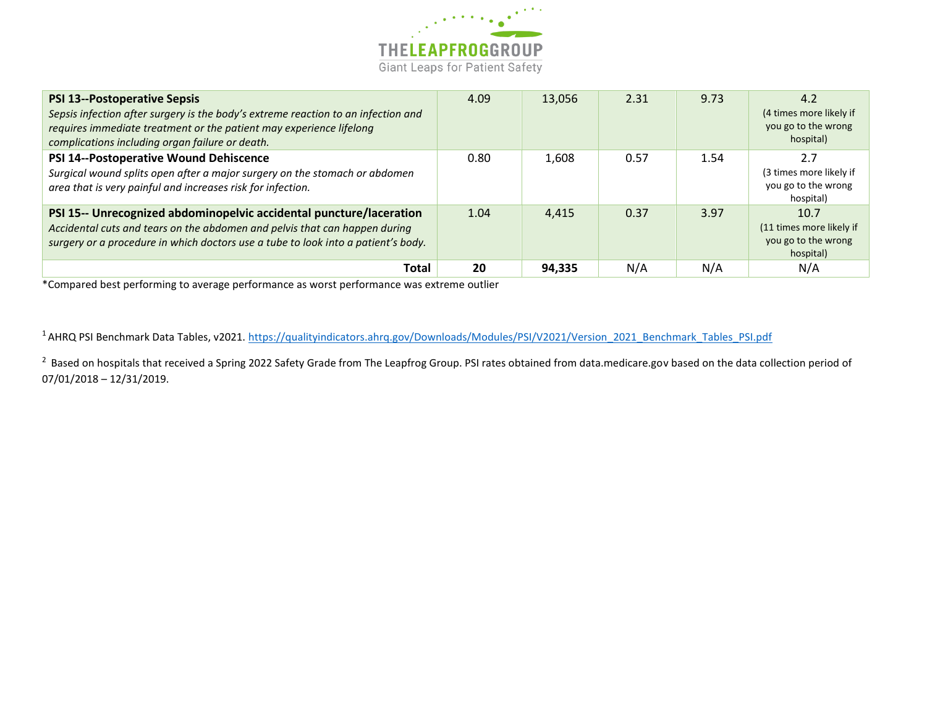

| <b>PSI 13--Postoperative Sepsis</b><br>Sepsis infection after surgery is the body's extreme reaction to an infection and<br>requires immediate treatment or the patient may experience lifelong<br>complications including organ failure or death. | 4.09 | 13,056 | 2.31 | 9.73 | 4.2<br>(4 times more likely if<br>you go to the wrong<br>hospital)   |
|----------------------------------------------------------------------------------------------------------------------------------------------------------------------------------------------------------------------------------------------------|------|--------|------|------|----------------------------------------------------------------------|
| PSI 14--Postoperative Wound Dehiscence<br>Surgical wound splits open after a major surgery on the stomach or abdomen<br>area that is very painful and increases risk for infection.                                                                | 0.80 | 1,608  | 0.57 | 1.54 | 2.7<br>(3 times more likely if<br>you go to the wrong<br>hospital)   |
| PSI 15-- Unrecognized abdominopelvic accidental puncture/laceration<br>Accidental cuts and tears on the abdomen and pelvis that can happen during<br>surgery or a procedure in which doctors use a tube to look into a patient's body.             | 1.04 | 4,415  | 0.37 | 3.97 | 10.7<br>(11 times more likely if<br>you go to the wrong<br>hospital) |
| Total                                                                                                                                                                                                                                              | 20   | 94,335 | N/A  | N/A  | N/A                                                                  |

\*Compared best performing to average performance as worst performance was extreme outlier

<sup>1</sup> AHRQ PSI Benchmark Data Tables, v2021. [https://qualityindicators.ahrq.gov/Downloads/Modules/PSI/V2021/Version\\_2021\\_Benchmark\\_Tables\\_PSI.pdf](https://qualityindicators.ahrq.gov/Downloads/Modules/PSI/V2021/Version_2021_Benchmark_Tables_PSI.pdf)

<sup>2</sup> Based on hospitals that received a Spring 2022 Safety Grade from The Leapfrog Group. PSI rates obtained from data.medicare.gov based on the data collection period of 07/01/2018 – 12/31/2019.